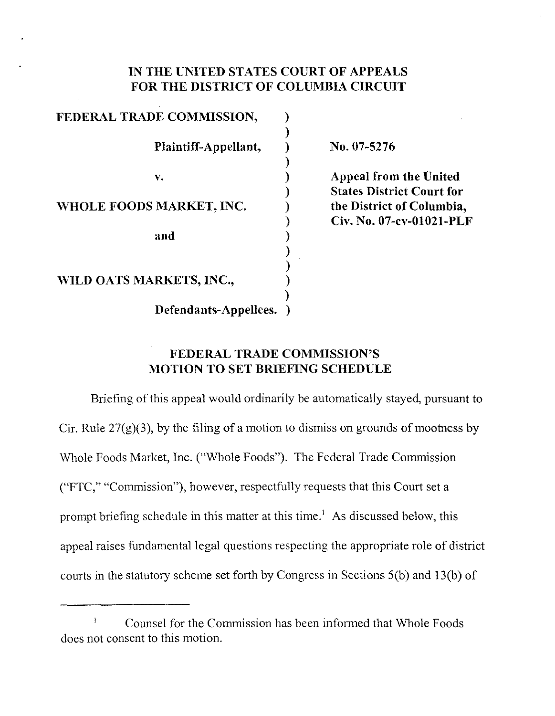### **IN THE UNITED STATES COURT OF APPEALS FOR THE DISTRICT OF COLUMBIA CIRCillT**

| FEDERAL TRADE COMMISSION, |  |
|---------------------------|--|
| Plaintiff-Appellant,      |  |
| v.                        |  |
| WHOLE FOODS MARKET, INC.  |  |
| and                       |  |
| WILD OATS MARKETS, INC.,  |  |
| Defendants-Appellees.     |  |

No. 07-5276

**Appeal from the United States District Court for the District of Columbia,** Civ. No. **07-cv-0l021-PLF**

## **FEDERAL TRADE COMMISSION'S MOTION TO SET BRIEFING SCHEDULE**

Briefing of this appeal would ordinarily be automatically stayed, pursuant to Cir. Rule  $27(g)(3)$ , by the filing of a motion to dismiss on grounds of mootness by Whole Foods Market, Inc. ("Whole Foods"). The Federal Trade Commission ("FTC," "Commission"), however, respectfully requests that this Court set a prompt briefing schedule in this matter at this time.' As discussed below, this appeal raises fundamental legal questions respecting the appropriate role of district courts in the statutory scheme set forth by Congress in Sections  $5(b)$  and  $13(b)$  of

Counsel for the Commission has been informed that Whole Foods  $\mathbf{I}$ docs not consent to this motion.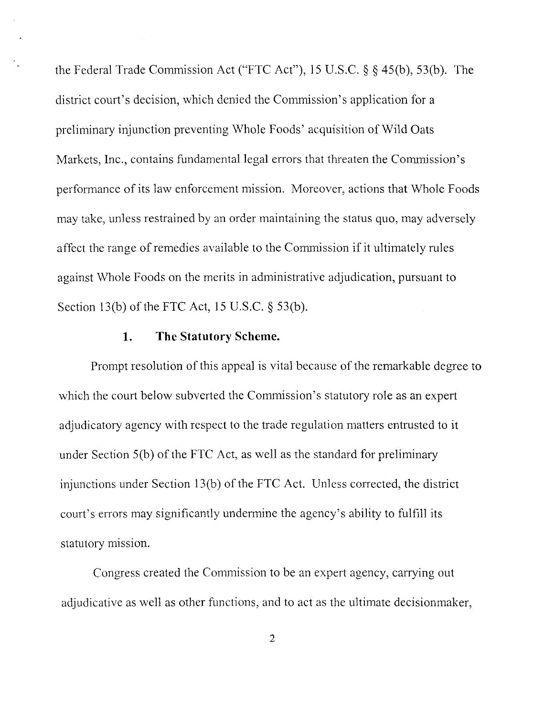the Federal Trade Commission Act ("FTC Act"), 15 U.S.c. § § 45(b), 53(b). The district court's decision, which denied the Commission's application for a preliminary injunction preventing Whole Foods' acquisition of Wild Oats Markets, Inc., contains fundamental legal errors that threaten the Commission's performance of its law enforcement mission. Moreover, actions that Whole Foods may take, unless restrained by an order maintaining the status quo, may adversely affect the range of remedies available to the Commission if it ultimately rules against Whole Foods on the merits in administrative adjudication, pursuant to Section 13(b) of the FTC Act, 15 U.S.C.  $\S$  53(b).

#### **1. The Statutory Scheme.**

Prompt resolution of this appeal is vital because of the remarkable degree to which the court below subverted the Commission's statutory role as an expert adjudicatory agency with respect to the trade regulation matters entrusted to it under Section  $5(b)$  of the FTC Act, as well as the standard for preliminary injunctions under Section 13(b) of the FTC Act. Unless corrected, the district court's errors may significantly undermine the agency's ability to fulfill its statutory mission.

Congress created the Commission to be an expert agency, carrying out adjudicative as well as other functions, and to act as the ultimate decisionmaker,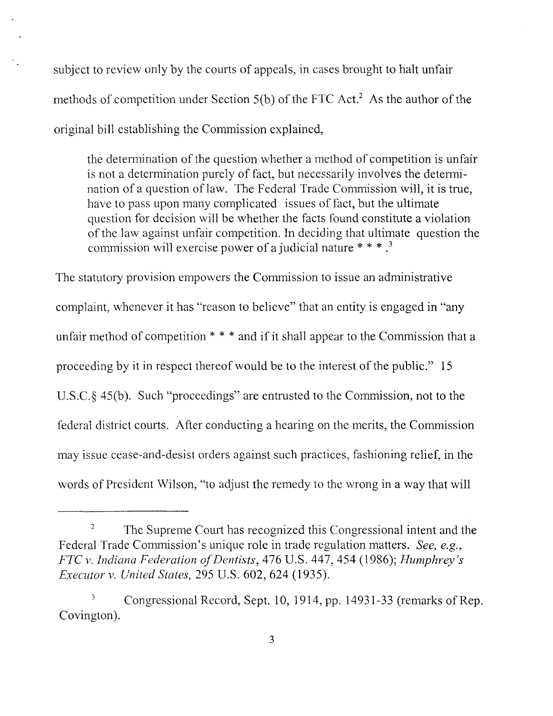subject to review only by the courts of appeals, in cases brought to halt unfair methods of competition under Section  $5(b)$  of the FTC Act.<sup>2</sup> As the author of the original bill establishing the Commission explained,

the determination of the question whether a method of competition is unfair is not a determination purely of fact, but necessarily involves the determination of a question of law. The Federal Trade Commission will, it is true, have to pass upon many complicated issues of fact, but the ultimate question for decision will be whether the facts found constitute a violation of the law against unfair competition. In deciding that ultimate question the commission will exercise power of a judicial nature  $***$ .<sup>3</sup>

The statutory provision empowers the Commission to issue an administrative complaint, whenever it has "reason to believe" that an entity is engaged in "any unfair method of competition  $* * *$  and if it shall appear to the Commission that a proceeding by it in respect thereof would be to the interest of the public." 15 U.S.c.§ 45(b). Such "proceedings" are entrusted to the Commission, not to the federal district courts. After conducting a hearing on the merits, the Commission may issue cease-and-desist orders against such practices, fashioning relief, in the words of President Wilson, "to adjust the remedy to the wrong in a way that will

<sup>&</sup>lt;sup>2</sup> The Supreme Court has recognized this Congressional intent and the Federal Trade Commission's unique role in trade regulation matters. *See, e.g., FTC v. Indiana Federation ofDentists,* 476 U.S. 447, 454 (1986); *Humphrey's Executor v. United States,* 295 U.S. 602, 624 (1935).

 $3$  Congressional Record, Sept. 10, 1914, pp. 14931-33 (remarks of Rep. Covington).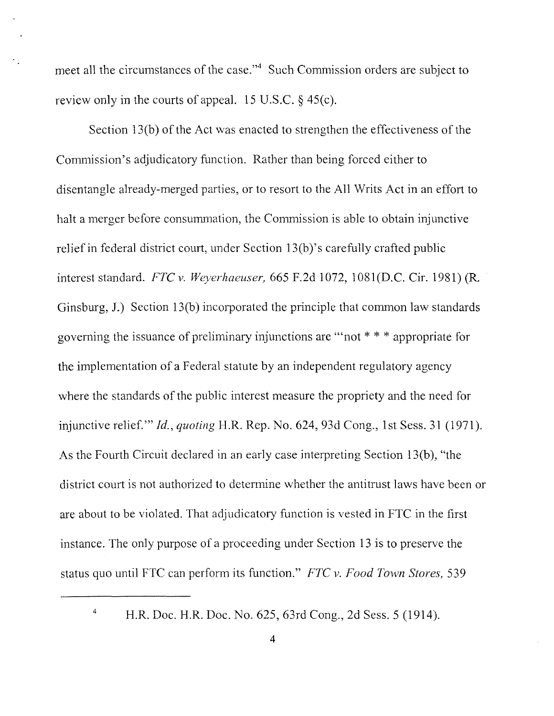meet all the circumstances of the case."<sup>4</sup> Such Commission orders are subject to review only in the courts of appeal. 15 U.S.C. § 45(c).

Section  $13(b)$  of the Act was enacted to strengthen the effectiveness of the Commission's adjudicatory function. Rather than being forced either to disentangle already-merged parties, or to resort to the All Writs Act in an effort to halt a merger before consummation, the Commission is able to obtain injunctive relief in federal district court, under Section 13(b)'s carefully crafted public interest standard. *FTC* v. *Weyerhaeuser,* 665 F.2d 1072, 1081(D.C. Cir. 1981) (R. Ginsburg, J.) Section 13(b) incorporated the principle that common law standards governing the issuance of preliminary injunctions are "'not \* \* \* appropriate for the implementation of a Federal statute by an independent regulatory agency where the standards of the public interest measure the propriety and the need for injunctive relief." *Id., quoting* H.R. Rep. No. 624, 93d Cong., 1st Sess. 31 (1971). As the Fourth Circuit declared in an early case interpreting Section 13(b), "the district court is not authorized to determine whether the antitrust laws have been or are about to be violated. That adjudicatory function is vested in FTC in the first instance. The only purpose of a proceeding under Section 13 is to preserve the status quo until FTC can perform its function." *FTC* v. *Food Town Stores, 539*

<sup>&</sup>lt;sup>4</sup> H.R. Doc. H.R. Doc. No. 625, 63rd Cong., 2d Sess. 5 (1914).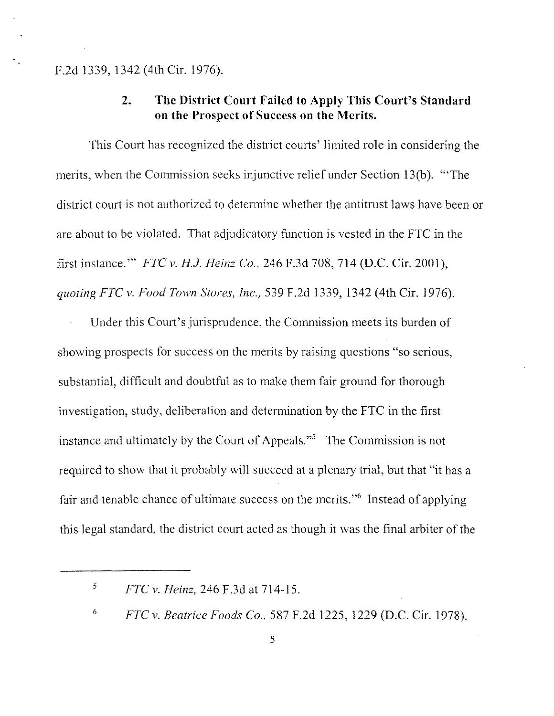F.2d 1339, 1342 (4th Cir. 1976).

# **2. The District Court Failed to Apply This Court's Standard on the Prospect of Success on the Merits.**

This Court has recognized the district courts' limited role in considering the merits, when the Commission seeks injunctive relief under Section 13(b). "'The district court is not authorized to determine whether the antitrust laws have been or are about to be violated. That adjudicatory function is vested in the FTC in the first instance." *FTC v.* H.i. *Heinz Co.,* 246 F.3d 708, 714 (D.C. Cir. 2001), *quoting FTC v. Food Town Stores, Inc.,* 539 F.2d 1339, 1342 (4th Cir. 1976).

Under this Court's jurisprudence, the Commission meets its burden of showing prospects for success on the merits by raising questions "so serious, substantial, difficult and doubtful as to make them fair ground for thorough investigation, study, deliberation and determination by the FTC in the first instance and ultimately by the Court of Appeals."<sup>5</sup> The Commission is not required to show that it probably will succeed at a plenary trial, but that "it has a fair and tenable chance of ultimate success on the merits."<sup>6</sup> Instead of applying this legal standard, the district court acted as though it was the final arbiter of the

<sup>5</sup> *FTC v. Heinz,* 246 F.3d at 714-15.

<sup>6</sup> *FTC v. Beatrice Foods Co.,* 587 F.2d 1225, 1229 (D.C. Cir. 1978).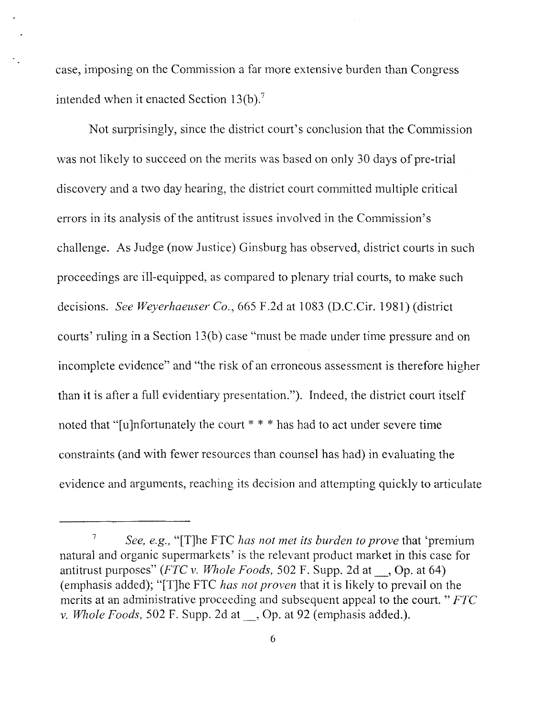case, imposing on the Commission a far more extensive burden than Congress intended when it enacted Section  $13(b)$ .<sup>7</sup>

Not surprisingly, since the district court's conclusion that the Commission was not likely to succeed on the merits was based on only 30 days of pre-trial discovery and a two day hearing, the district court committed multiple critical errors in its analysis of the antitrust issues involved in the Commission's challenge. As Judge (now Justice) Ginsburg has observed, district courts in such proceedings are ill-equipped, as compared to plenary trial courts, to make such decisions. *See Weyerhaeuser Co.,* 665 F.2d at 1083 (D.C.Cir. 1981) (district courts' ruling in a Section 13(b) case "must be made under time pressure and on incomplete evidence" and "the risk of an erroneous assessment is therefore higher than it is after a full evidentiary presentation."). Indeed, the district court itself noted that "[u]nfortunately the court \* \* \* has had to act under severe time constraints (and with fewer resources than counsel has had) in evaluating the evidence and arguments, reaching its decision and attempting quickly to articulate

*<sup>7</sup> See, e.g.,* "[Tjhc FTC *has not met its burden to prove* that 'premium natural and organic supermarkets' is the relevant product market in this case for antitrust purposes" *(FTC* v. *Whole Foods,* 502 F. Supp. 2d at \_, Op. at 64) (emphasis added); "[T[he FTC *has not proven* that it is likely to prevail on the merits at an administrative proceeding and subsequent appeal to the court. " *FTC* v. *Whole Foods,* 502 F. Supp. 2d at \_, Op. at 92 (emphasis added.).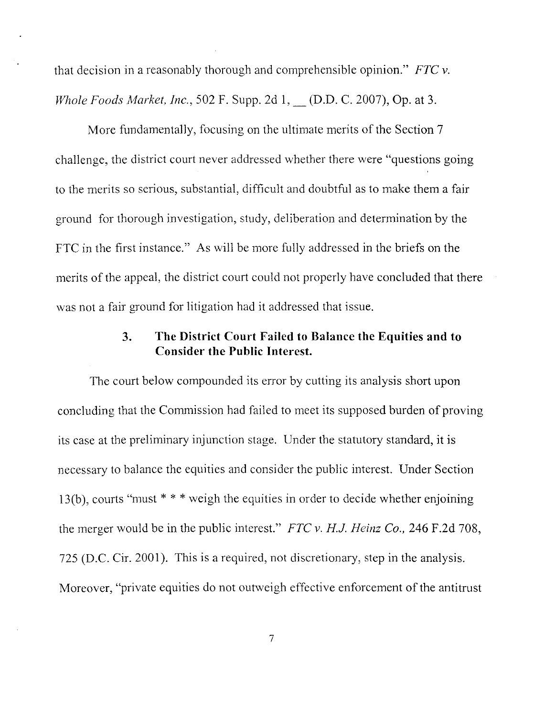that decision in a reasonably thorough and comprehensible opinion." *FTC v. Whole Foods Market, Inc.,* 502 F. Supp. 2d 1, \_ (D.D. C. 2007), Op, at 3.

More fundamentally, focusing on the ultimate merits of the Section 7 challenge, the district court never addressed whether there were "questions going to the merits so serious, substantial, difficult and doubtful as to make them a fair ground for thorough investigation, study, deliberation and determination by the FTC in the first instance." As will be more fully addressed in the briefs on the merits of the appeal, the district court could not properly have concluded that there was not a fair ground for litigation had it addressed that issue.

# **3. The District Court Failed to Balance the Equities and to Consider the Public Interest.**

The eourt below compounded its error by cutting its analysis short upon concluding that the Commission had failed to meet its supposed burden of proving its case at the preliminary injunction stage. Under the statutory standard, it is necessary to balance the equities and consider the public interest. Under Section 13(b), courts "must \* \* \* weigh the equities in order to decide whether enjoining the merger would be in the public interest." *FTC v. H.I. Heinz Co.,* 246 F.2d 708, 725 (D.C. Cir. 2001). This is a required, not discretionary, step in the analysis. Moreover, "private equities do not outweigh effective enforcement of the antitrust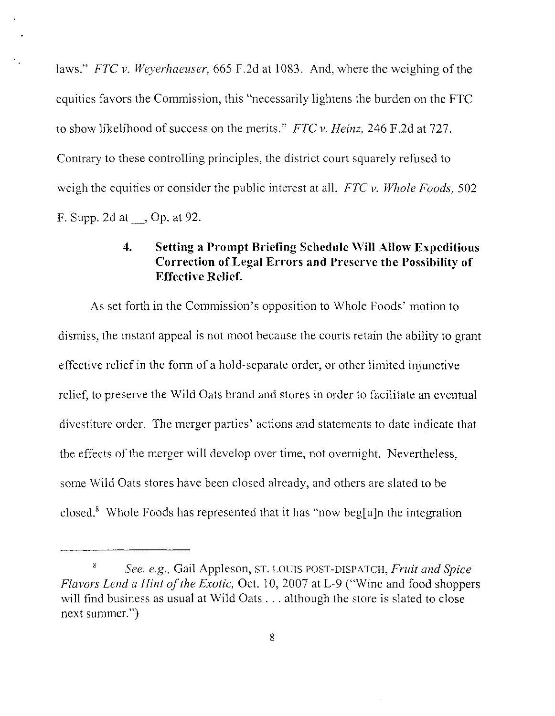laws." *FTC v. Weyerhaeuser*, 665 F.2d at 1083. And, where the weighing of the equities favors the Commission, this "necessarily lightens the burden on the **FTC** to show likelihood of success on the merits." *FTC v. Heinz*, 246 F.2d at 727. Contrary to these controlling principles, the district court squarely refused to weigh the equities or consider the public interest at all. *FTC v. Whole Foods, 502* F. Supp. 2d at \_, Op. at 92.

## **4. Setting a Prompt Briefing Schedule Will Allow Expeditious Correction of Legal Errors and Preserve the Possibility of Effective Relief.**

As set forth in the Commission's opposition to Whole Foods' motion to dismiss, the instant appeal is not moot because the courts retain the ability to grant effective relief in the form of a hold-separate order, or other limited injunctive relief, to preserve the Wild Oats brand and stores in order to facilitate an eventual divestiture order. The merger parties' actions and statements to date indicate that the effects of the merger will develop over time, not overnight. Nevertheless, some Wild Oats stores have been closed already, and others are slated to be closed." Whole Foods has represented that it has "now beg[u]n the integration

<sup>8</sup> *See. e.g.,* Gail Appleson, ST. LOUIS POST-DISPATCH, *Fruit and Spice Flavors Lend a Hint of the Exotic,* Oct. 10, 2007 at L-9 ("Wine and food shoppers") will find business as usual at Wild Oats . . . although the store is slated to close next summer.")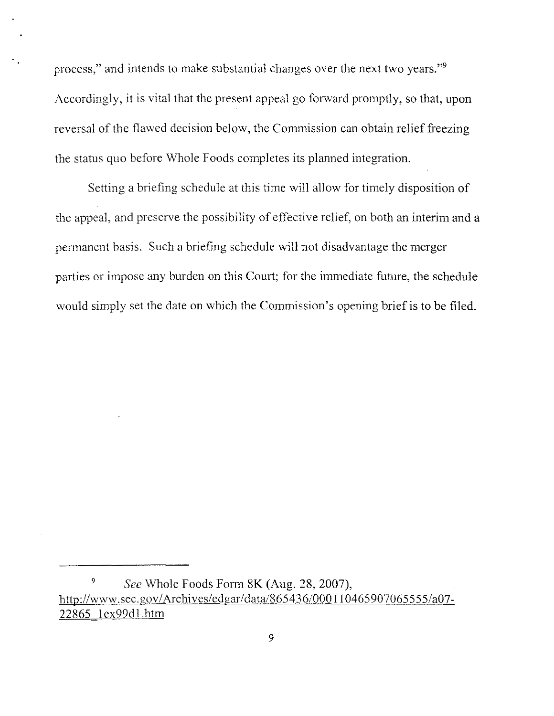process," and intends to make substantial changes over the next two years."<sup>9</sup> Accordingly, it is vital that the present appeal go forward promptly, so that, upon reversal of the flawed decision below, the Commission can obtain relief freezing the status quo before Whole Foods completes its planned integration.

Setting a briefing schedule at this time wi11 allow for timely disposition of the appeal, and preserve the possibility of effective relief, on both an interim and a permanent basis. Such a briefing schedule wi11 not disadvantage the merger parties or impose any burden on this Court; for the immediate future, the schedule would simply set the date on which the Commission's opening brief is to be filed.

*<sup>9</sup> See* Whole Foods Form 8K (Aug. 28, 2007), http://www.sec.gov/Archives/edgar/data/865436/000110465907065555/a07-22865 1ex99d1.htm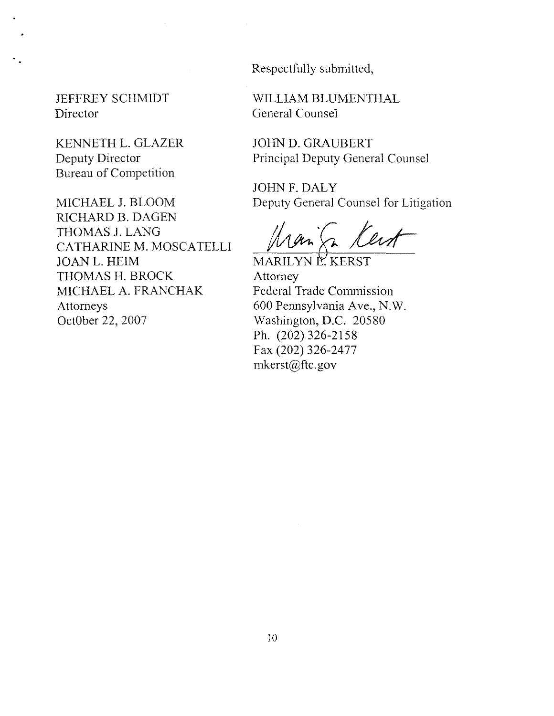Respectfully submitted,

JEFFREY SCHMIDT Director

KENNETH L. GLAZER Deputy Director Bureau of Competition

MICHAEL J. BLOOM RICHARD B. DAGEN THOMAS J. LANG CATHARINE M. MOSCATELLI JOANL. HElM THOMAS H. BROCK MICHAEL A. FRANCHAK Attorneys OctOber 22, 2007

WILLIAM BLUMENTHAL General Counsel

JOHN D. GRAUBERT Principal Deputy General Counsel

JOHN F. DALY Deputy General Counsel for Litigation

Man (2 /

Attorney Federal Trade Commission 600 Pennsylvania Ave., N.W. Washington, D.C. 20580 Ph. (202) 326-2158 Fax (202) 326-2477 mkerst@ftc.gov